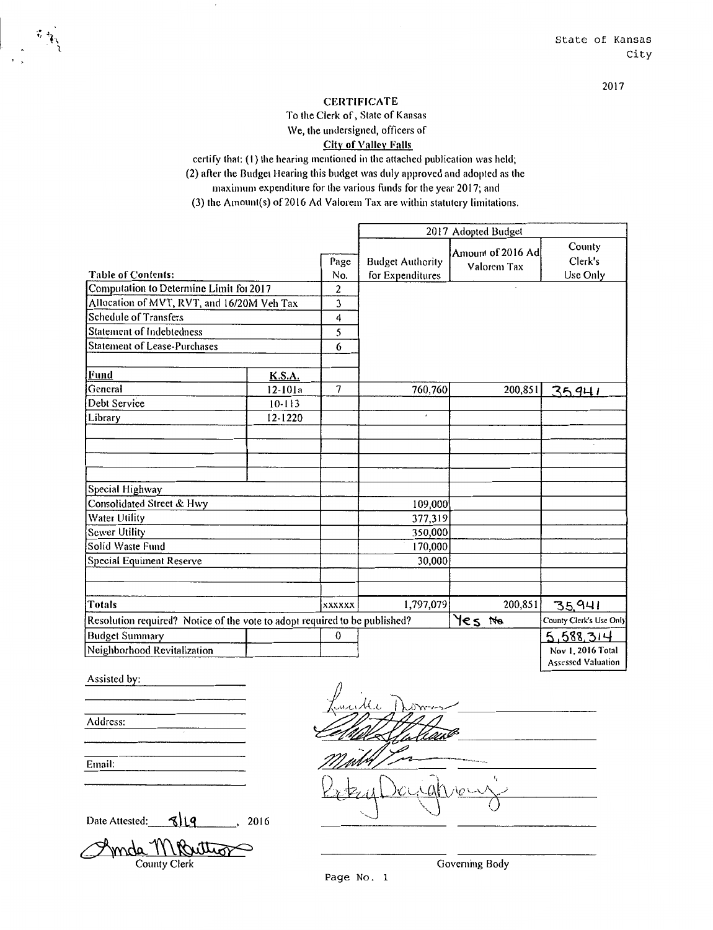# **CERTIFICATE**

To the Clerk of, State of Kansas

We, the undersigned, officers of

City of Valley Falls

certify that: (I) the hearing mentioned in the attached publication was held; (2) after the Budget Hearing this budget was duly approved and adopted as the maximum expenditure for the various funds for the year 2017; and (3} the Amount(s) of2016 Ad Valorem Tax are within statutory limitations.

|                                                                            |               |                | 2017 Adopted Budget     |                                  |                           |  |
|----------------------------------------------------------------------------|---------------|----------------|-------------------------|----------------------------------|---------------------------|--|
|                                                                            |               | Page           | <b>Budget Authority</b> | Amount of 2016 Ad<br>Valorem Tax | County<br>Clerk's         |  |
| <b>Table of Contents:</b>                                                  |               | No.            | for Expenditures        |                                  | Use Only                  |  |
| Computation to Determine Limit for 2017                                    |               | $\overline{c}$ |                         |                                  |                           |  |
| Allocation of MVT, RVT, and 16/20M Veh Tax                                 |               | 3              |                         |                                  |                           |  |
| <b>Schedule of Transfers</b>                                               |               | 4              |                         |                                  |                           |  |
| <b>Statement of Indebtedness</b>                                           |               | 5              |                         |                                  |                           |  |
| <b>Statement of Lease-Purchases</b>                                        |               | 6              |                         |                                  |                           |  |
| <b>Fund</b>                                                                | <b>K.S.A.</b> |                |                         |                                  |                           |  |
| General                                                                    | $12 - 101a$   | $\overline{7}$ | 760,760                 | 200,851                          | 35.941                    |  |
| Debt Service                                                               | $10 - 113$    |                |                         |                                  |                           |  |
| Library                                                                    | 12-1220       |                | $\epsilon$              |                                  |                           |  |
|                                                                            |               |                |                         |                                  |                           |  |
|                                                                            |               |                |                         |                                  |                           |  |
|                                                                            |               |                |                         |                                  |                           |  |
| Special Highway                                                            |               |                |                         |                                  |                           |  |
| Consolidated Street & Hwy                                                  |               |                | 109,000                 |                                  |                           |  |
| <b>Water Utility</b>                                                       |               |                | 377,319                 |                                  |                           |  |
| <b>Sewer Utility</b>                                                       |               |                | 350,000                 |                                  |                           |  |
| Solid Waste Fund                                                           |               |                | 170,000                 |                                  |                           |  |
| Special Equiment Reserve                                                   |               |                | 30,000                  |                                  |                           |  |
|                                                                            |               |                |                         |                                  |                           |  |
|                                                                            |               |                |                         |                                  |                           |  |
| <b>Totals</b>                                                              |               | XXXXXX         | 1,797,079               | 200,851                          | 35,941                    |  |
| Resolution required? Notice of the vote to adopt required to be published? |               |                |                         | Yes No                           | County Clerk's Use Only   |  |
| <b>Budget Summary</b>                                                      |               | $\bf{0}$       |                         |                                  | 5.588.314                 |  |
| Neighborhood Revitalization                                                |               |                |                         |                                  | Nov 1, 2016 Total         |  |
|                                                                            |               |                |                         |                                  | <b>Assessed Valuation</b> |  |

Assisted by:

wi  $\mathfrak{t}_i$ Date Attested: 8/19 . 2016

Address:

Email:

Date Attested:  $\sqrt{2}$ |  $\sqrt{4}$ , 2016

Page No. 1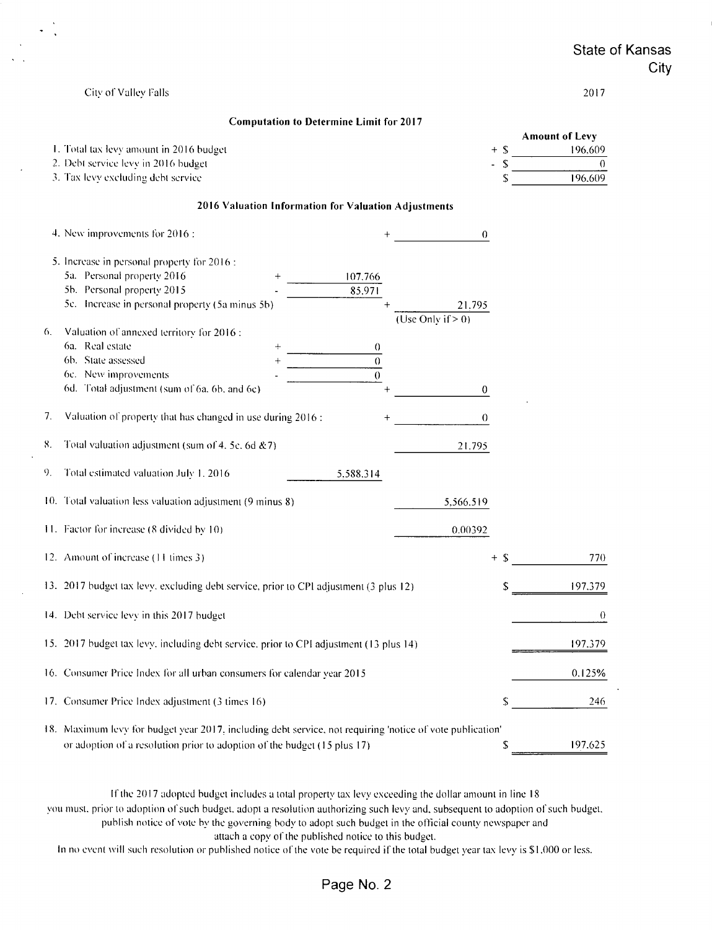|                                                                                                           | <b>State of Kansas</b> | City |
|-----------------------------------------------------------------------------------------------------------|------------------------|------|
| City of Valley Falls                                                                                      | 2017                   |      |
| <b>Computation to Determine Limit for 2017</b>                                                            |                        |      |
|                                                                                                           | <b>Amount of Levy</b>  |      |
| 1. Total tax levy amount in 2016 budget                                                                   | $+$ \$<br>196.609      |      |
| 2. Debt service levy in 2016 budget                                                                       | $\theta$               |      |
| 3. Tax levy excluding debt service                                                                        | 196.609                |      |
| 2016 Valuation Information for Valuation Adjustments                                                      |                        |      |
| 4. New improvements for 2016 :                                                                            | $\theta$               |      |
| 5. Increase in personal property for 2016 :                                                               |                        |      |
| 5a. Personal property 2016<br>107.766<br>$+$                                                              |                        |      |
| 5b. Personal property 2015<br>85.971                                                                      |                        |      |
| 5c. Increase in personal property (5a minus 5b)                                                           | 21,795                 |      |
| (Use Only if $> 0$ )                                                                                      |                        |      |
| Valuation of annexed territory for 2016 :<br>6.                                                           |                        |      |
| 6a. Real estate                                                                                           |                        |      |
| $\overline{0}$<br>6b. State assessed                                                                      |                        |      |
| 6c. New improvements<br>$\theta$                                                                          |                        |      |
| 6d. Total adjustment (sum of 6a, 6b, and 6c)                                                              | 0                      |      |
| Valuation of property that has changed in use during 2016 :<br>7.                                         | $\Omega$               |      |
| Total valuation adjustment (sum of 4. 5c, 6d & 7)<br>8.                                                   | 21.795                 |      |
| Total estimated valuation July 1, 2016<br>9.<br>5,588.314                                                 |                        |      |
| 10. Total valuation less valuation adjustment (9 minus 8)                                                 | 5,566.519              |      |
| 11. Factor for increase (8 divided by 10)                                                                 | 0.00392                |      |
| 12. Amount of increase (11 times 3)                                                                       | $+$ \$<br>770          |      |
| 13. 2017 budget tax levy, excluding debt service, prior to CPI adjustment (3 plus 12)                     | 197.379<br>S.          |      |
| 14. Debt service levy in this 2017 budget                                                                 | $\theta$               |      |
| 15. 2017 budget tax levy, including debt service, prior to CPI adjustment (13 plus 14)                    | 197.379                |      |
| 16. Consumer Price Index for all urban consumers for calendar year 2015                                   | 0.125%                 |      |
| 17. Consumer Price Index adjustment (3 times 16)                                                          | \$<br>246              |      |
| 18. Maximum levy for budget year 2017, including debt service, not requiring 'notice of vote publication' |                        |      |
| or adoption of a resolution prior to adoption of the budget (15 plus 17)                                  | \$<br>197.625          |      |

 $\bar{z}$ 

If the 2017 adopted budget includes a total property tax levy exceeding the dollar amount in line 18

you must, prior to adoption of such budget, adopt a resolution authorizing such levy and, subsequent to adoption of such budget, publish notice of vote by the governing body to adopt such budget in the official county newspaper and

attach a copy of the published notice to this budget.

In no event will such resolution or published notice of the vote be required if the total budget year tax levy is \$1,000 or less.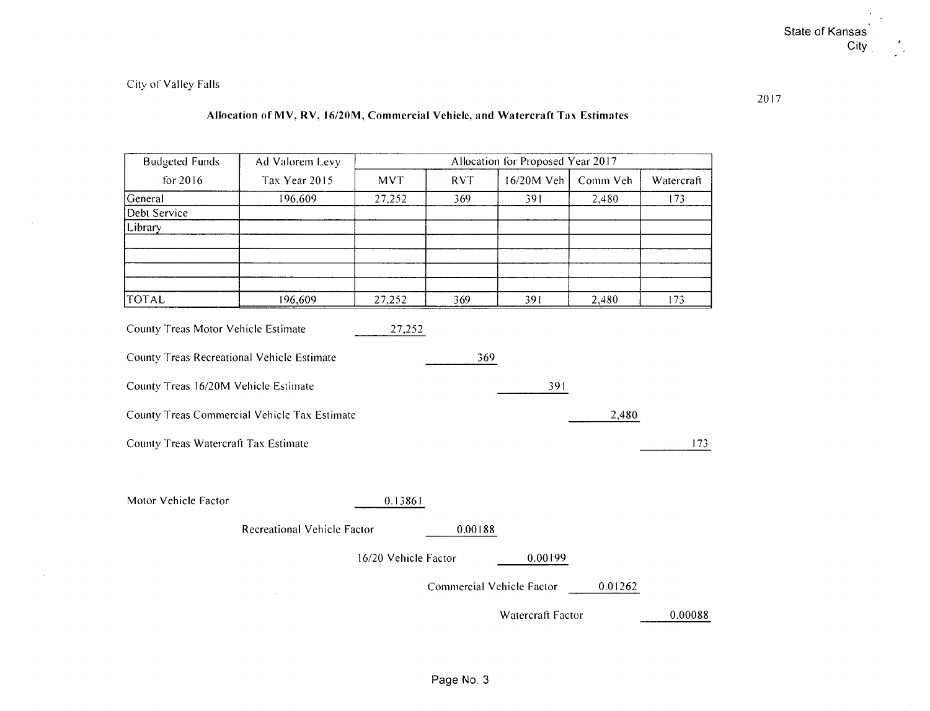$\epsilon$ 

City of Valley Falls

 $\sim 10^6$ 

 $\sim$ 

# **Allocation of MV, RV, 16/20M, Commercial Vehicle, and Watercraft Tax Estimates**

| <b>Budgeted Funds</b>                      | Ad Valorem Levy                              |                      |                           | Allocation for Proposed Year 2017 |          |            |
|--------------------------------------------|----------------------------------------------|----------------------|---------------------------|-----------------------------------|----------|------------|
| for 2016                                   | Tax Year 2015                                | <b>MVT</b>           | <b>RVT</b>                | 16/20M Veh                        | Comm Veh | Watercraft |
| General                                    | 196,609                                      | 27,252               | 369                       | 391                               | 2,480    | 173        |
| Debt Service                               |                                              |                      |                           |                                   |          |            |
| Library                                    |                                              |                      |                           |                                   |          |            |
|                                            |                                              |                      |                           |                                   |          |            |
| <b>TOTAL</b>                               | 196,609                                      | 27,252               | 369                       | 391                               | 2,480    | 173        |
| County Treas Motor Vehicle Estimate        |                                              | 27,252               |                           |                                   |          |            |
| County Treas Recreational Vehicle Estimate |                                              |                      | 369                       |                                   |          |            |
| County Treas 16/20M Vehicle Estimate       |                                              |                      |                           | 391                               |          |            |
|                                            | County Treas Commercial Vehicle Tax Estimate |                      |                           |                                   | 2,480    |            |
| County Treas Watercraft Tax Estimate       |                                              |                      |                           |                                   |          | 173        |
|                                            |                                              |                      |                           |                                   |          |            |
| Motor Vehicle Factor                       |                                              | 0.13861              |                           |                                   |          |            |
|                                            | Recreational Vehicle Factor                  |                      | 0.00188                   |                                   |          |            |
|                                            |                                              | 16/20 Vehicle Factor |                           | 0.00199                           |          |            |
|                                            |                                              |                      | Commercial Vehicle Factor |                                   | 0.01262  |            |
|                                            |                                              |                      |                           | Watercraft Factor                 |          | 0.00088    |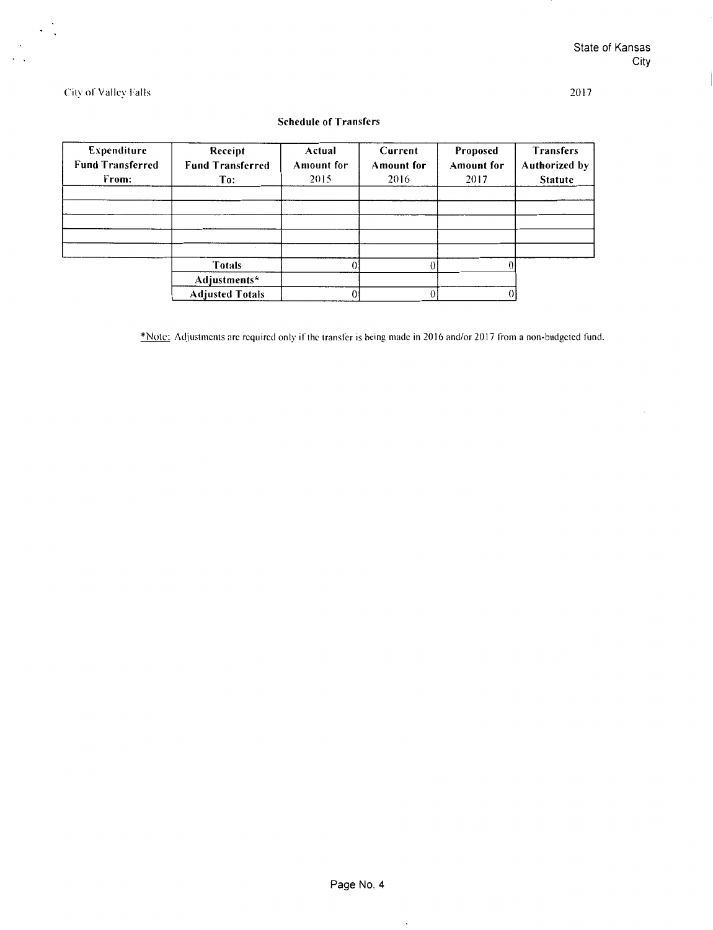# City or Valley Falls

 $\ddot{\phantom{0}}$ 

# Schedule of Transfers

| Expenditure<br><b>Fund Transferred</b><br>From: | Receipt<br><b>Fund Transferred</b><br>To: | Actual<br><b>Amount for</b><br>2015 | Current<br>Amount for<br>2016 | Proposed<br><b>Amount</b> for<br>2017 | <b>Transfers</b><br>Authorized by<br><b>Statute</b> |
|-------------------------------------------------|-------------------------------------------|-------------------------------------|-------------------------------|---------------------------------------|-----------------------------------------------------|
|                                                 |                                           |                                     |                               |                                       |                                                     |
|                                                 |                                           |                                     |                               |                                       |                                                     |
|                                                 |                                           |                                     |                               |                                       |                                                     |
|                                                 |                                           |                                     |                               |                                       |                                                     |
|                                                 |                                           |                                     |                               |                                       |                                                     |
|                                                 | <b>Totals</b>                             |                                     |                               |                                       |                                                     |
|                                                 | Adjustments*                              |                                     |                               |                                       |                                                     |
|                                                 | <b>Adjusted Totals</b>                    |                                     | 0                             |                                       |                                                     |

\*Note: Adjustments are required only if the transfer is being made in 2016 and/or 2017 from a non-budgeted fund.

 $\ddot{\phantom{a}}$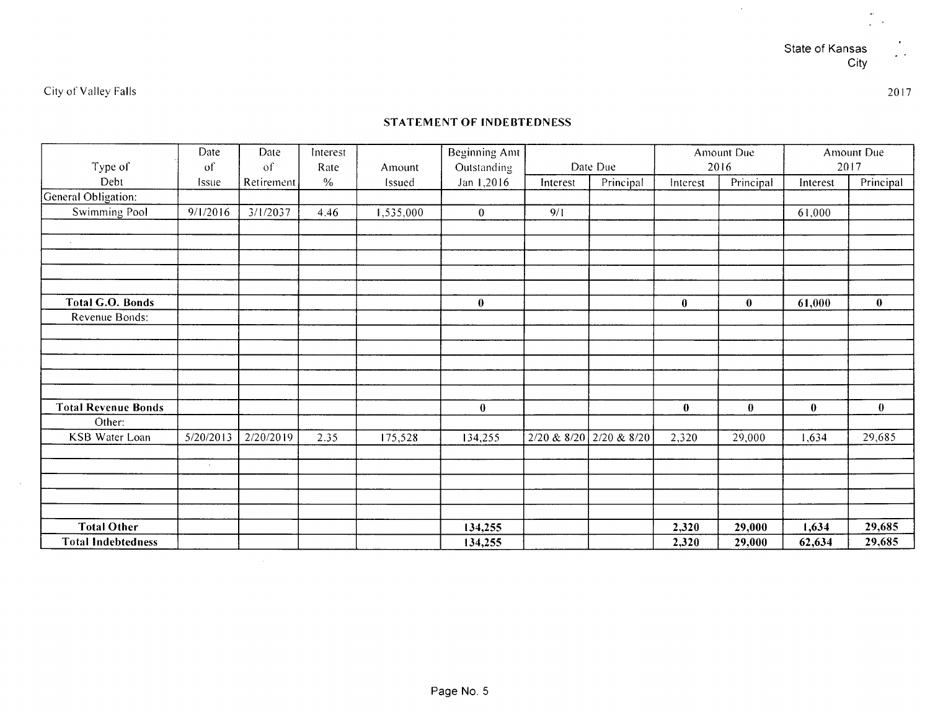$\mathcal{A}^{\mathcal{A}}$ 

City of Valley Falls

 $\sim 10^{-1}$ 

# **STATEMENT OF INDEBTEDNESS**

|                            | Date      | Date       | Interest      |           | <b>Beginning Amt</b> |          |                         |          | Amount Due   |          | Amount Due<br>2017 |
|----------------------------|-----------|------------|---------------|-----------|----------------------|----------|-------------------------|----------|--------------|----------|--------------------|
| Type of                    | of        | of         | Rate          | Amount    | Outstanding          |          | Date Due                |          | 2016         |          |                    |
| Debt                       | Issue     | Retirement | $\frac{0}{0}$ | Issued    | Jan 1,2016           | Interest | Principal               | Interest | Principal    | Interest | Principal          |
| General Obligation:        |           |            |               |           |                      |          |                         |          |              |          |                    |
| <b>Swimming Pool</b>       | 9/1/2016  | 3/1/2037   | 4.46          | 1,535,000 | $\mathbf{0}$         | 9/1      |                         |          |              | 61,000   |                    |
|                            |           |            |               |           |                      |          |                         |          |              |          |                    |
| $\sim 10^{-1}$             |           |            |               |           |                      |          |                         |          |              |          |                    |
|                            |           |            |               |           |                      |          |                         |          |              |          |                    |
|                            |           |            |               |           |                      |          |                         |          |              |          |                    |
|                            |           |            |               |           |                      |          |                         |          |              |          |                    |
| Total G.O. Bonds           |           |            |               |           | $\mathbf{0}$         |          |                         | $\bf{0}$ | $\mathbf{0}$ | 61,000   | $\mathbf{0}$       |
| Revenue Bonds:             |           |            |               |           |                      |          |                         |          |              |          |                    |
|                            |           |            |               |           |                      |          |                         |          |              |          |                    |
|                            |           |            |               |           |                      |          |                         |          |              |          |                    |
|                            |           |            |               |           |                      |          |                         |          |              |          |                    |
|                            |           |            |               |           |                      |          |                         |          |              |          |                    |
|                            |           |            |               |           |                      |          |                         |          |              |          |                    |
| <b>Total Revenue Bonds</b> |           |            |               |           | $\bf{0}$             |          |                         | $\bf{0}$ | $\bf{0}$     | $\bf{0}$ | $\bf{0}$           |
| Other:                     |           |            |               |           |                      |          |                         |          |              |          |                    |
| KSB Water Loan             | 5/20/2013 | 2/20/2019  | 2.35          | 175,528   | 134,255              |          | 2/20 & 8/20 2/20 & 8/20 | 2,320    | 29,000       | 1,634    | 29,685             |
|                            |           |            |               |           |                      |          |                         |          |              |          |                    |
|                            | $\sim$    |            |               |           |                      |          |                         |          |              |          |                    |
|                            |           |            |               |           |                      |          |                         |          |              |          |                    |
|                            |           |            |               |           |                      |          |                         |          |              |          |                    |
|                            |           |            |               |           |                      |          |                         |          |              |          |                    |
| <b>Total Other</b>         |           |            |               |           | 134,255              |          |                         | 2,320    | 29,000       | 1,634    | 29,685             |
| <b>Total Indebtedness</b>  |           |            |               |           | 134,255              |          |                         | 2,320    | 29,000       | 62,634   | 29,685             |

2017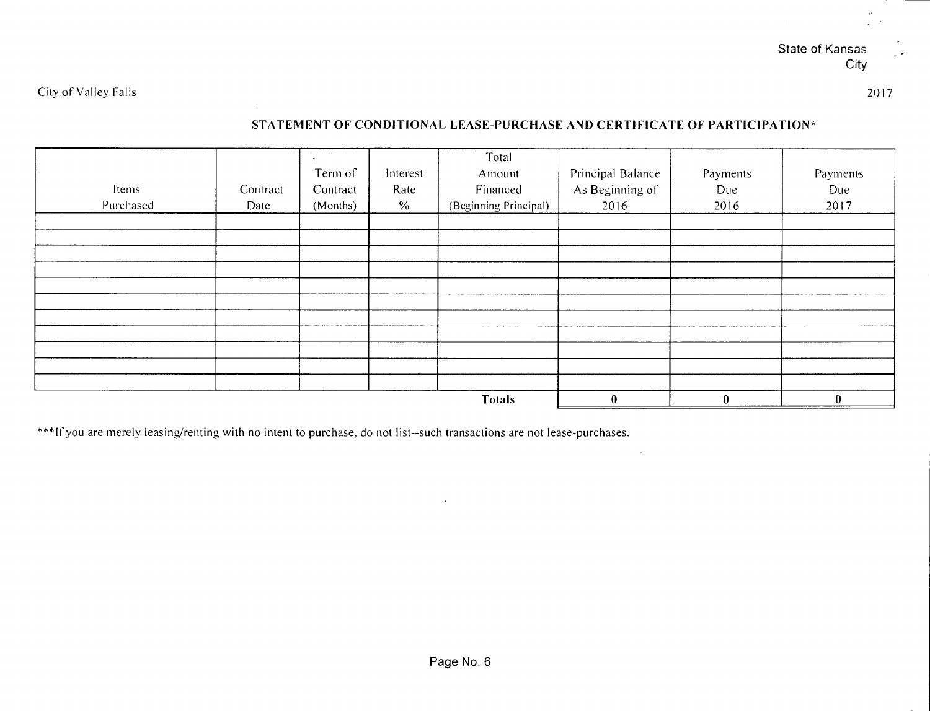# State of Kansas **City**

City of Valley Falls

2017

# **STATEMENT OF CONDITIONAL LEASE-PURCHASE AND CERTIFICATE OF PARTICIPATION\***

 $\Delta$ 

| Items<br>Purchased | Contract<br>Date | $\bullet$<br>Term of<br>Contract<br>(Months) | Interest<br>Rate<br>$\%$ | Total<br>Amount<br>Financed<br>(Beginning Principal) | Principal Balance<br>As Beginning of<br>2016 | Payments<br>Due<br>2016 | Payments<br>Due<br>2017 |
|--------------------|------------------|----------------------------------------------|--------------------------|------------------------------------------------------|----------------------------------------------|-------------------------|-------------------------|
|                    |                  |                                              |                          |                                                      |                                              |                         |                         |
|                    |                  |                                              |                          |                                                      |                                              |                         |                         |
|                    |                  |                                              |                          |                                                      |                                              |                         |                         |
|                    |                  |                                              |                          |                                                      |                                              |                         |                         |
|                    |                  |                                              |                          |                                                      |                                              |                         |                         |
|                    |                  |                                              |                          | <b>Totals</b>                                        | $\mathbf{0}$                                 | $\bf{0}$                | $\mathbf{0}$            |

\*\*\*If you are merely leasing/renting with no intent to purchase, do not list--such transactions are not lease-purchases.

 $\mathcal{A}^{\mathcal{A}}$ 

 $\mathcal{L}$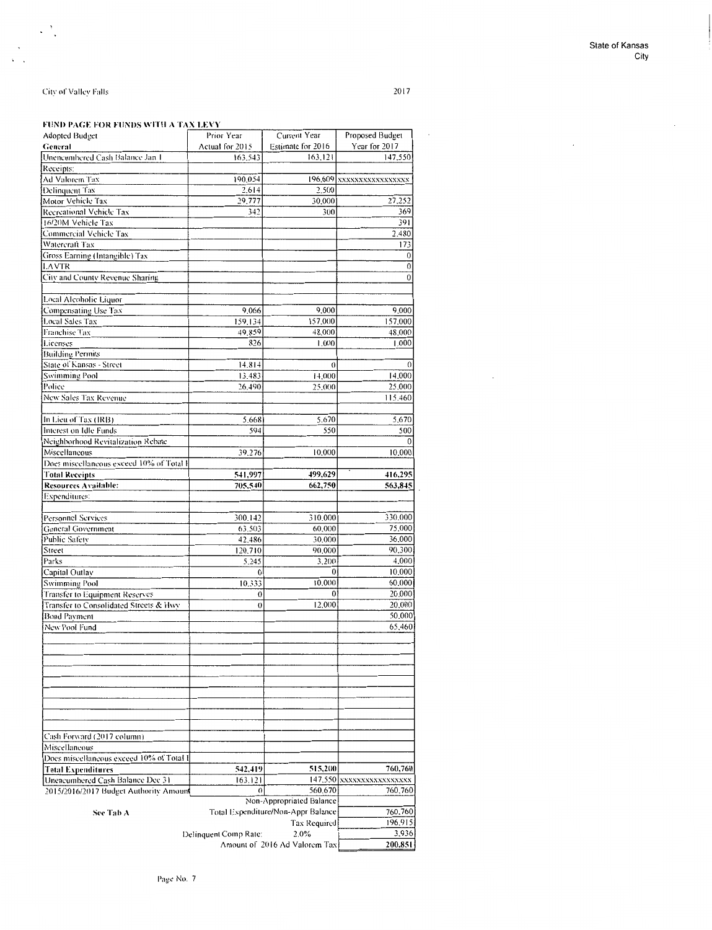# City of Valley Falls

 $\cdot$  $\overline{a}$ 

# FUND PAGE FOR FUNDS WITH A TAX LEVY

| <b>Adopted Budget</b>                         | Prior Year                                    | Current Year                  | Proposed Budget         |
|-----------------------------------------------|-----------------------------------------------|-------------------------------|-------------------------|
| General                                       | Actual for 2015                               | Estimate for 2016             | Year for 2017           |
| Unencumbered Cash Balance Jan 1               | 163,543                                       | 163,121                       | 147,550                 |
| Receipts:                                     |                                               |                               |                         |
| Ad Valorem Tax                                | 190.054                                       |                               | 196,609 XXXXXXXXXXXXXXX |
| Delinquent Tax                                | 2.614                                         | 2,500                         |                         |
| Motor Vehicle Tax<br>Recreational Vehicle Tax | 29,777                                        | 30,000                        | 27,252                  |
| 16/20M Vehicle Tax                            | 342                                           | 300                           | 369<br>391              |
| Commercial Vehicle Tax                        |                                               |                               | 2.480                   |
| Watercraft Tax                                |                                               |                               | 173                     |
| Gross Earning (Intangible) Tax                |                                               |                               | $\theta$                |
| <b>LAVTR</b>                                  |                                               |                               | $\theta$                |
| City and County Revenue Sharing               |                                               |                               | 0                       |
|                                               |                                               |                               |                         |
| Local Alcoholic Liquor                        |                                               |                               |                         |
| Compensating Use Tax                          | 9,066                                         | 9,000                         | 9,000                   |
| <b>Local Sales Tax</b>                        | 159,134                                       | 157,000                       | 157,000                 |
| Franchise Tax                                 | 49.859                                        | 48,000                        | 48,000                  |
| Licenses                                      | 826                                           | 1.000                         | 1.000                   |
| <b>Building Permits</b>                       |                                               |                               |                         |
| State of Kansas - Street                      | 14,814                                        | $\theta$                      |                         |
| Swimming Pool                                 | 13.483                                        | 14,000                        | 14.000                  |
| Police<br>New Sales Tax Revenue               | 26.490                                        | 25,000                        | 25,000                  |
|                                               |                                               |                               | 115.460                 |
| In Lieu of Tax (IRB)                          | 5.668                                         | 5,670                         | 5,670                   |
| Interest on Idle Funds                        | 594                                           | 550                           | 500                     |
| Neighborhood Revitalization Rebate            |                                               |                               |                         |
| Miscellaneous                                 | 39,276                                        | 10,000                        | 10,000                  |
| Does miscellaneous exceed 10% of Total I      |                                               |                               |                         |
| <b>Total Receipts</b>                         | 541,997                                       | 499,629                       | 416,295                 |
| <b>Resources Available:</b>                   | 705,540                                       | 662,750                       | 563,845                 |
| Expenditures:                                 |                                               |                               |                         |
|                                               |                                               |                               |                         |
| Personnel Services                            | 300,142                                       | 310,000                       | 330,000                 |
| General Government                            | 63.503                                        | 60,000                        | 75,000                  |
| Public Safety                                 | 42,486                                        | 30,000                        | 36,000                  |
| Street<br>Parks                               | 120,710<br>5,245                              | 90,000<br>3,200               | 90,300<br>4,000         |
| Capital Outlay                                | $\mathbf{0}$                                  | $\mathbf{0}$                  | 10,000                  |
| <b>Swimming Pool</b>                          | 10.333                                        | 10,000                        | 60,000                  |
| <b>Transfer to Equipment Reserves</b>         | $\theta$                                      | $\Omega$                      | 20,000                  |
| Transfer to Consolidated Streets & Hwv        | $\theta$                                      | 12,000                        | 20,000                  |
| <b>Bond Payment</b>                           |                                               |                               | 50,000                  |
| New Pool Fund                                 |                                               |                               | 65,460                  |
|                                               |                                               |                               |                         |
|                                               |                                               |                               |                         |
|                                               |                                               |                               |                         |
|                                               |                                               |                               |                         |
|                                               |                                               |                               |                         |
|                                               |                                               |                               |                         |
|                                               |                                               |                               |                         |
|                                               |                                               |                               |                         |
| Cash Forward (2017 column)                    |                                               |                               |                         |
| Miscellaneous                                 |                                               |                               |                         |
| Does miscellaneous exceed 10% of Total I      |                                               |                               |                         |
| <b>Total Expenditures</b>                     | 542,419                                       | 515,200                       | 760,760                 |
| Unencumbered Cash Balance Dec 31              | 163.121                                       |                               | 147,550 XXXXXXXXXXXXXXX |
| 2015/2016/2017 Budget Authority Amount        | $\Omega$                                      | 560,670                       | 760,760                 |
|                                               | Non-Appropriated Balance                      |                               |                         |
| See Tab A                                     | Total Expenditure/Non-Appr Balance<br>760,760 |                               |                         |
|                                               |                                               | Tax Required                  | 196,915                 |
|                                               | Delinquent Comp Rate:                         | 2.0%                          | 3,936                   |
|                                               |                                               | Amount of 2016 Ad Valorem Tax | 200.851                 |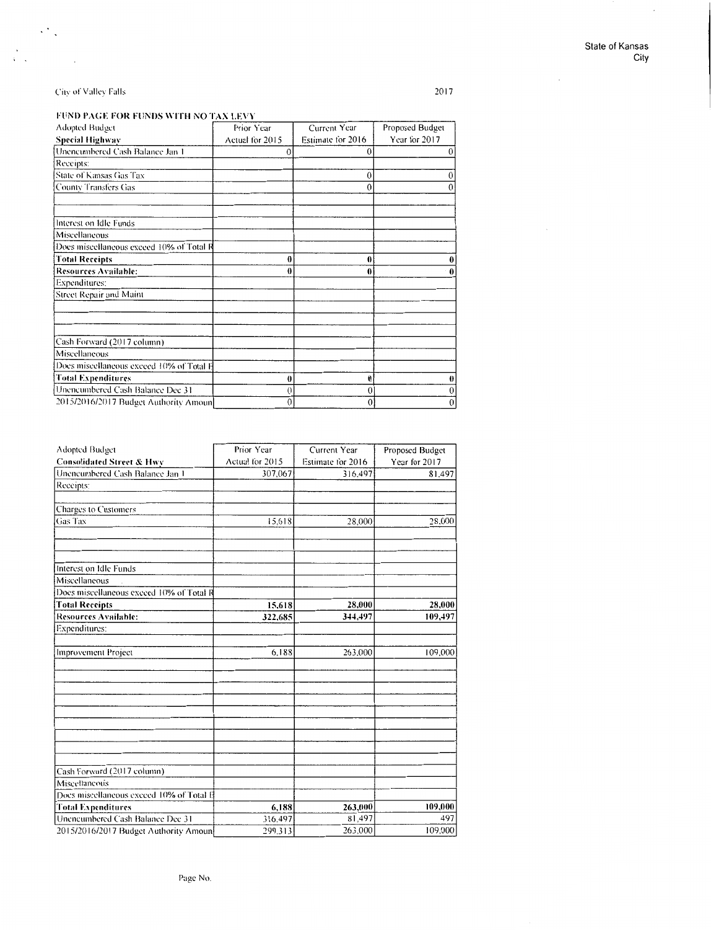$\bar{z}$ 

# City of Valley Falls

 $\mathbf{r}$ 

 $\mathcal{O}_\infty$ 

# FUND PAGE FOR FUNDS WITH NO TAX LEVY

| Adopted Budget                           | Prior Year      | Current Year      | Proposed Budget |
|------------------------------------------|-----------------|-------------------|-----------------|
| <b>Special Highway</b>                   | Actual for 2015 | Estimate for 2016 | Year for 2017   |
| Unencumbered Cash Balance Jan 1          | O               | 0                 |                 |
| Receipts:                                |                 |                   |                 |
| State of Kansas Gas Tax                  |                 | 0                 |                 |
| County Transfers Gas                     |                 | 0                 |                 |
| Interest on Idle Funds                   |                 |                   |                 |
| Miscellaneous                            |                 |                   |                 |
| Does miscellaneous exceed 10% of Total R |                 |                   |                 |
|                                          |                 |                   |                 |
| <b>Total Receipts</b>                    | 0               | 0                 |                 |
| <b>Resources Available:</b>              |                 | 0                 |                 |
| Expenditures:                            |                 |                   |                 |
| Street Repair and Maint                  |                 |                   |                 |
|                                          |                 |                   |                 |
| Cash Forward (2017 column)               |                 |                   |                 |
| Miscellaneous                            |                 |                   |                 |
| Does miscellaneous exceed 10% of Total E |                 |                   |                 |
| <b>Total Expenditures</b>                | 0               | $\theta$          | 0               |
| Unencumbered Cash Balance Dec 31         | 0               | 0                 | 0               |
| 2015/2016/2017 Budget Authority Amoun    | 0               | 0                 | $\theta$        |

| Adopted Budget                           | Prior Year      | Current Year      | Proposed Budget |
|------------------------------------------|-----------------|-------------------|-----------------|
| <b>Consolidated Street &amp; Hwy</b>     | Actual for 2015 | Estimate for 2016 | Year for 2017   |
| Unencumbered Cash Balance Jan 1          | 307,067         | 316,497           | 81.497          |
| Receipts:                                |                 |                   |                 |
|                                          |                 |                   |                 |
| <b>Charges to Customers</b>              |                 |                   |                 |
| <b>Gas Tax</b>                           | 15.618          | 28,000            | 28,000          |
|                                          |                 |                   |                 |
| Interest on Idle Funds                   |                 |                   |                 |
| Miscellaneous                            |                 |                   |                 |
| Does miscellaneous exceed 10% of Total R |                 |                   |                 |
| <b>Total Receipts</b>                    | 15,618          | 28,000            | 28,000          |
| <b>Resources Available:</b>              | 322,685         | 344,497           | 109,497         |
| Expenditures:                            |                 |                   |                 |
| Improvement Project                      | 6.188           | 263,000           | 109,000         |
|                                          |                 |                   |                 |
|                                          |                 |                   |                 |
|                                          |                 |                   |                 |
|                                          |                 |                   |                 |
| Cash Forward (2017 column)               |                 |                   |                 |
| Miscellaneous                            |                 |                   |                 |
| Does miscellaneous exceed 10% of Total E |                 |                   |                 |
| <b>Total Expenditures</b>                | 6,188           | 263,000           | 109,000         |
| Unencumbered Cash Balance Dec 31         | 316,497         | 81,497            | 497             |
| 2015/2016/2017 Budget Authority Amoun    | 299.313         | 263,000           | 109.000         |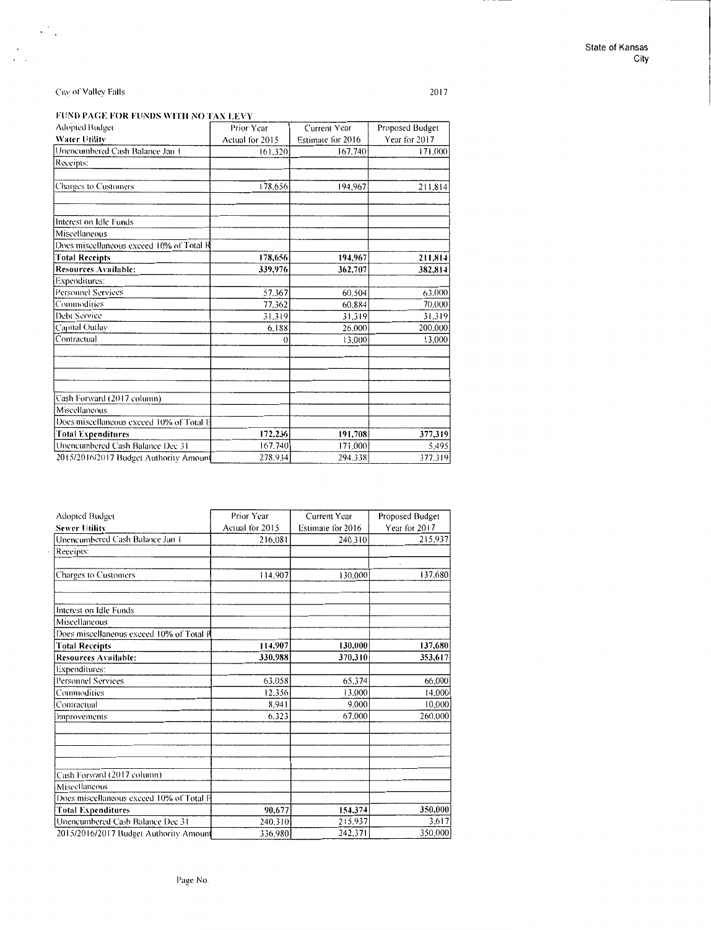# City of Valley Falls

 $\mathbb{R}^2$  .

FUND PAGE FOR FUNDS WITH NO TAX LEVY

| Adopted Budget                           | Prior Year      | Current Year      | Proposed Budget |
|------------------------------------------|-----------------|-------------------|-----------------|
| Water Utility                            | Actual for 2015 | Estimate for 2016 | Year for 2017   |
| Unencumbered Cash Balance Jan 1          | 161.320         | 167.740           | 171,000         |
| Receipts:                                |                 |                   |                 |
| Charges to Customers                     | 178,656         | 194,967           | 211,814         |
| Interest on Idle Funds                   |                 |                   |                 |
| Miscellaneous                            |                 |                   |                 |
| Does miscellaneous exceed 10% of Total R |                 |                   |                 |
| <b>Total Receipts</b>                    | 178,656         | 194,967           | 211,814         |
| <b>Resources Available:</b>              | 339,976         | 362.707           | 382,814         |
| Expenditures:                            |                 |                   |                 |
| <b>Personnel Services</b>                | 57.367          | 60.504            | 63.000          |
| Commodities                              | 77.362          | 60.884            | 70.000          |
| Debt Service                             | 31.319          | 31.319            | 31.319          |
| Capital Outlay                           | 6.188           | 26,000            | 200,000         |
| Contractual                              | $\theta$        | 13,000            | 13,000          |
|                                          |                 |                   |                 |
| Cash Forward (2017 column)               |                 |                   |                 |
| Miscellaneous                            |                 |                   |                 |
| Does miscellaneous exceed 10% of Total E |                 |                   |                 |
| <b>Total Expenditures</b>                | 172,236         | 191,708           | 377,319         |
| Uneneumbered Cash Balance Dec 31         | 167.740         | 171,000           | 5,495           |
| 2015/2016/2017 Budget Authority Amount   | 278.934         | 294,338           | 377.319         |

| <b>Adopted Budget</b>                    | Prior Year      | Current Year      | Proposed Budget |
|------------------------------------------|-----------------|-------------------|-----------------|
| <b>Sewer Utility</b>                     | Actual for 2015 | Estimate for 2016 | Year for 2017   |
| Unencumbered Cash Balance Jan 1          | 216,081         | 240.310           | 215,937         |
| Reecipts:                                |                 |                   |                 |
|                                          |                 |                   |                 |
| <b>Charges to Customers</b>              | 114,907         | 130,000           | 137.680         |
|                                          |                 |                   |                 |
| Interest on Idle Funds                   |                 |                   |                 |
| Miscellaneous                            |                 |                   |                 |
| Does miscellaneous exceed 10% of Total R |                 |                   |                 |
| <b>Total Receipts</b>                    | 114,907         | 130,000           | 137,680         |
| <b>Resources Available:</b>              | 330,988         | 370,310           | 353,617         |
| Expenditures:                            |                 |                   |                 |
| Personnel Services                       | 63.058          | 65,374            | 66,000          |
| Commodities                              | 12.356          | 13,000            | 14,000          |
| Contractual                              | 8.941           | 9,000             | 10,000          |
| Improvements                             | 6,323           | 67.000            | 260,000         |
|                                          |                 |                   |                 |
| Cash Forward (2017 column)               |                 |                   |                 |
| Miscellaneous                            |                 |                   |                 |
| Does miscellaneous exceed 10% of Total F |                 |                   |                 |
| <b>Total Expenditures</b>                | 90,677          | 154,374           | 350,000         |
| Unencumbered Casb Balance Dec 31         | 240.310         | 215,937           | 3.617           |
| 2015/2016/2017 Budget Authority Amount   | 336,980         | 242.371           | 350,000         |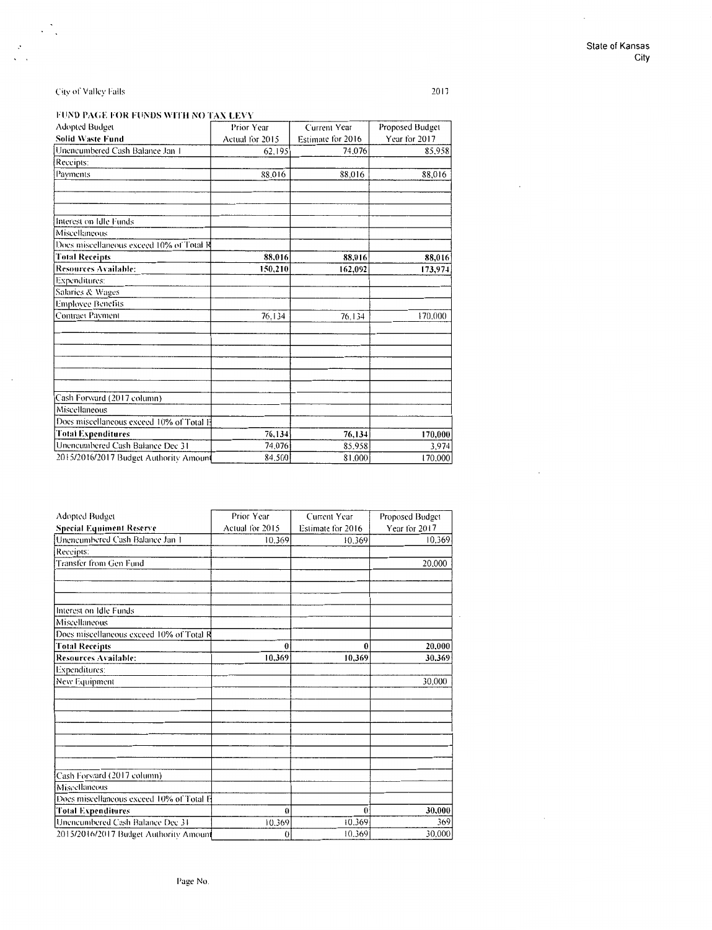# City of Valley Falls

 $\ddot{\cdot}$  $\ddot{\phantom{a}}$ 

FUND PAGE FOR FUNDS WITH NO TAX LEVY

| Adopted Budget                           | Prior Year      | Current Year      | Proposed Budget |
|------------------------------------------|-----------------|-------------------|-----------------|
| <b>Solid Waste Fund</b>                  | Actual for 2015 | Estimate for 2016 | Year for 2017   |
| Unencumbered Cash Balance Jan 1          | 62,195          | 74.076            | 85,958          |
| Receipts:                                |                 |                   |                 |
| Payments                                 | 88,016          | 88,016            | 88,016          |
|                                          |                 |                   |                 |
| Interest on Idle Funds                   |                 |                   |                 |
| Miscellaneous                            |                 |                   |                 |
| Does miscellaneous exceed 10% of Total R |                 |                   |                 |
| <b>Total Receipts</b>                    | 88.016          | 88,016            | 88,016          |
| <b>Resources Available:</b>              | 150,210         | 162,092           | 173,974         |
| Expenditures:                            |                 |                   |                 |
| Salaries & Wages                         |                 |                   |                 |
| <b>Employee Benefits</b>                 |                 |                   |                 |
| <b>Contract Payment</b>                  | 76.134          | 76.134            | 170,000         |
|                                          |                 |                   |                 |
|                                          |                 |                   |                 |
| Cash Forward (2017 column)               |                 |                   |                 |
| Miscellaneous                            |                 |                   |                 |
| Does miscellaneous exceed 10% of Total E |                 |                   |                 |
| <b>Total Expenditures</b>                | 76,134          | 76,134            | 170,000         |
| Unencumbered Cash Balance Dec 31         | 74,076          | 85.958            | 3.974           |
| 2015/2016/2017 Budget Authority Amount   | 84,500          | 81.000            | 170,000         |

| <b>Adopted Budget</b>                    | Prior Year      | <b>Current Year</b> | Proposed Budget |
|------------------------------------------|-----------------|---------------------|-----------------|
| <b>Special Equiment Reserve</b>          | Actual for 2015 | Estimate for 2016   | Year for 2017   |
| Unencumbered Cash Balance Jan 1          | 10.369          | 10.369              | 10,369          |
| Receipts:                                |                 |                     |                 |
| Transfer from Gen Fund                   |                 |                     | 20,000          |
|                                          |                 |                     |                 |
| Interest on Idle Funds                   |                 |                     |                 |
| Miscellaneous                            |                 |                     |                 |
| Does miscellaneous exceed 10% of Total R |                 |                     |                 |
| <b>Total Reccipts</b>                    | $\bf{0}$        | $\bf{0}$            | 20,000          |
| <b>Resources Available:</b>              | 10,369          | 10.369              | 30.369          |
| Expenditures:                            |                 |                     |                 |
| New Equipment                            |                 |                     | 30,000          |
|                                          |                 |                     |                 |
|                                          |                 |                     |                 |
|                                          |                 |                     |                 |
|                                          |                 |                     |                 |
| Cash Forward (2017 column)               |                 |                     |                 |
| Miscellaneous                            |                 |                     |                 |
| Does miscellaneous exceed 10% of Total E |                 |                     |                 |
| <b>Total Expenditures</b>                | $\theta$        | $\bf{0}$            | 30,000          |
| Unencumbered Cash Balance Dec 31         | 10.369          | 10.369              | 369             |
| 2015/2016/2017 Budget Authority Amount   | $\theta$        | 10.369              | 30,000          |

 $\ddot{\phantom{a}}$ 

 $\bar{z}$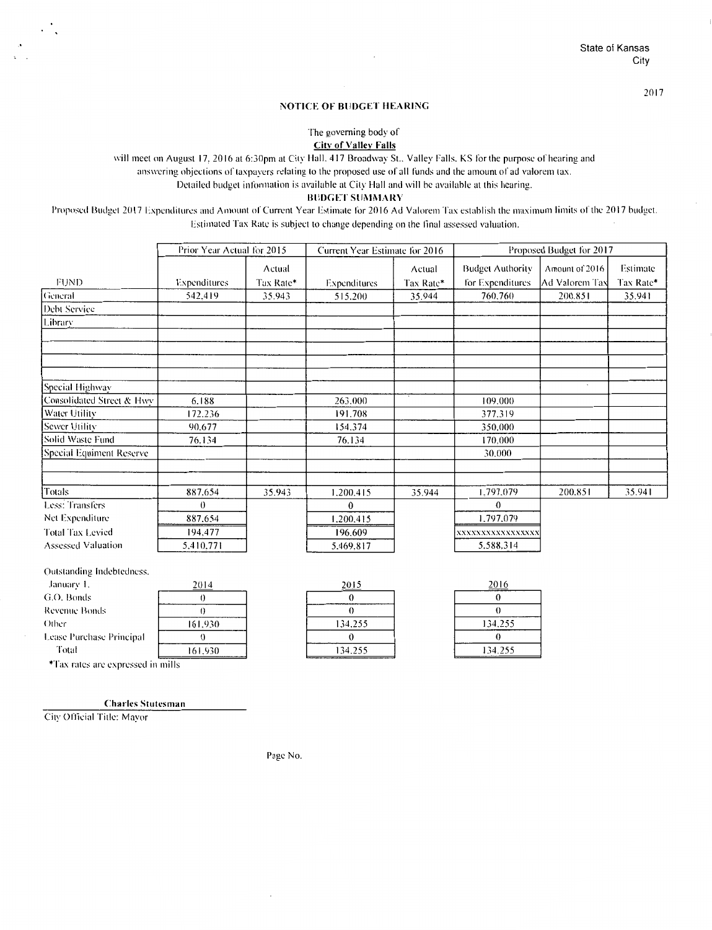State of Kansas **City** 

2017

# **NOTICE OF BliBGET HEARING**

The governing body of **City of Valley Falls** 

will meet on August 17, 2016 at 6:30pm at City Hall, 417 Broadway St., Valley Falls. KS for the purpose of hearing and answering objections of taxpayers relating to the proposed use of all funds and the amount of ad valorem tax.

Detailed budget information is available at City Hall and will be available at this hearing.

**BUDGET SUMMARY** 

Proposed Budget 2017 Expenditures and Amount of Current Year Estimate for 2016 Ad Valorem Tax establish the maximum limits of the 2017 budget. Estimated Tax Rate is subject to change depending on the final assessed valuation.

|                           | Prior Year Actual for 2015 |           | Current Year Estimate for 2016 |                  | Proposed Budget for 2017 |                |           |  |
|---------------------------|----------------------------|-----------|--------------------------------|------------------|--------------------------|----------------|-----------|--|
|                           |                            | Actual    | Actual                         |                  | <b>Budget Authority</b>  | Amount of 2016 | Estimate  |  |
| FUND                      | <b>Expenditures</b>        | Tax Rate* | Expenditures                   | Tax Rate*        | for Expenditures         | Ad Valorem Tax | Tax Rate* |  |
| General                   | 542.419                    | 35.943    | 515,200                        | 35.944           | 760,760                  | 200.851        | 35.941    |  |
| Debt Service              |                            |           |                                |                  |                          |                |           |  |
| Library                   |                            |           |                                |                  |                          |                |           |  |
|                           |                            |           |                                |                  |                          |                |           |  |
|                           |                            |           |                                |                  |                          |                |           |  |
|                           |                            |           |                                |                  |                          |                |           |  |
| Special Highway           |                            |           |                                |                  |                          | $\sim$         |           |  |
| Consolidated Street & Hwy | 6.188                      |           | 263,000                        |                  | 109,000                  |                |           |  |
| <b>Water Utility</b>      | 172.236                    |           | 191.708                        |                  | 377.319                  |                |           |  |
| Sewer Utility             | 90.677                     |           | 154,374                        |                  | 350,000                  |                |           |  |
| Solid Waste Fund          | 76.134                     |           | 76.134                         |                  | 170,000                  |                |           |  |
| Special Equiment Reserve  |                            |           |                                |                  | 30.000                   |                |           |  |
|                           |                            |           |                                |                  |                          |                |           |  |
| Totals                    | 887.654                    | 35.943    | 1.200.415                      | 35.944           | 1.797.079                | 200.851        | 35.941    |  |
| Less: Transfers           | $\theta$                   |           | 0                              |                  | $\Omega$                 |                |           |  |
| Net Expenditure           | 887.654                    |           | 1.200.415                      |                  | 1.797.079                |                |           |  |
| <b>Total Tax Levied</b>   | 194.477                    |           | 196,609                        | XXXXXXXXXXXXXXXX |                          |                |           |  |
| <b>Assessed Valuation</b> | 5.410.771                  |           | 5.469.817                      |                  | 5.588.314                |                |           |  |

Outstanding Indebtedness.

| January 1.                                                                                                     | 2014    | 2015    | 2016    |
|----------------------------------------------------------------------------------------------------------------|---------|---------|---------|
| G.O. Bonds                                                                                                     |         |         |         |
| Revenue Bonds                                                                                                  |         |         |         |
| Other                                                                                                          | 161.930 | 134.255 | 134,255 |
| Lease Purchase Principal                                                                                       |         |         |         |
| Total                                                                                                          | 161.930 | 134,255 | 134.255 |
| series and the contract of the contract of the contract of the contract of the contract of the contract of the |         |         |         |

\*Tax rates arc expressed in mills

**Charles Stutesman** 

City Official Title: Mayor

Page No.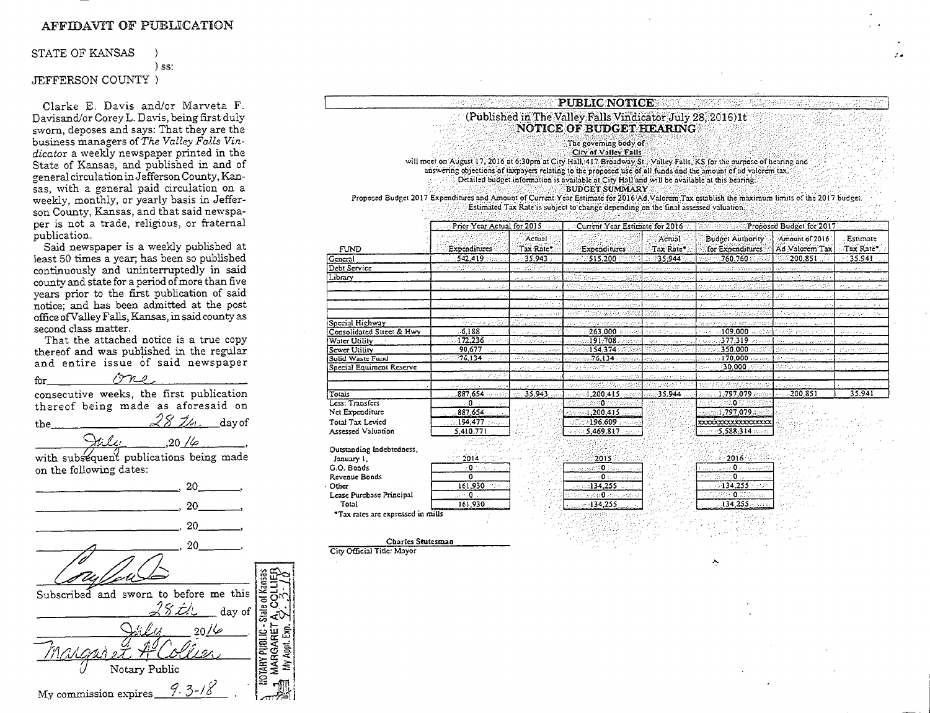# AFFIDAVIT OF PUBLICATION

 $)$  ss:

# STATE OF KANSAS

# JEFFERSON COUNTY)

Clarke E. Davis and/or Marveta F. Davisand/or Corey L. Davis, being first duly sworn, deposes and says: That they are the business managers of The Valley Falls Vindicator a weekly newspaper printed in the State of Kansas, and published in and of general circulation in Jefferson County, Kansas, with a general paid circulation on a weekly, monthly, or yearly basis in Jefferson County, Kansas, and that said newspaper is not a trade, religious, or fraternal publication.

Said newspaper is a weekly published at least 50 times a year; has been so published continuously and uninterruptedly in said county and state for a period of more than five vears prior to the first publication of said notice; and has been admitted at the post office of Valley Falls, Kansas, in said county as second class matter.

That the attached notice is a true copy thereof and was published in the regular<br>and entire issue of said newspaper

 $19722$ for

the

consecutive weeks, the first publication thereof being made as aforesaid on  $28$   $\mathcal{Z}_{m}$  day of

 $.20 / 6$ 

with subsequent publications being made on the following dates:



|                                   |                                                                                                                                                |                              | <b>PUBLIC NOTIGE</b>                                                                          |                     |                                     |                                     |                  |
|-----------------------------------|------------------------------------------------------------------------------------------------------------------------------------------------|------------------------------|-----------------------------------------------------------------------------------------------|---------------------|-------------------------------------|-------------------------------------|------------------|
|                                   |                                                                                                                                                |                              | (Published in The Valley Falls Vindicator July 28, 2016)1t<br><b>NOTICE OF BUDGET HEARING</b> |                     |                                     |                                     |                  |
|                                   |                                                                                                                                                |                              | The governing body of                                                                         |                     |                                     |                                     |                  |
|                                   |                                                                                                                                                |                              | City of Valley Falls                                                                          |                     |                                     |                                     |                  |
|                                   | will meet on August 17, 2016 at 6:30pm at City Hall, 417 Broadway St., Valley Falls, KS for the ourpose of hearing and                         |                              |                                                                                               |                     |                                     |                                     |                  |
|                                   | answering objections of taxpayers relating to the proposed use of all funds and the amount of ad valorem tax.                                  |                              |                                                                                               |                     |                                     |                                     |                  |
|                                   |                                                                                                                                                |                              | Detailed budget information is available at City Hall and will be available at this hearing.  |                     |                                     |                                     |                  |
|                                   |                                                                                                                                                |                              | <b>BUDGET SUMMARY</b>                                                                         |                     |                                     |                                     |                  |
|                                   | Proposed Budget 2017 Expenditures and Amount of Current Year Estimate for 2016 Ad Valorem Tax establish the maximum limits of the 2017 budget. |                              | Estimated Tax Rate is subject to change depending on the final assessed valuation.            |                     |                                     |                                     |                  |
|                                   |                                                                                                                                                |                              |                                                                                               |                     |                                     |                                     |                  |
|                                   | Prior Year Actual for 2015                                                                                                                     |                              | Current Year Estimate for 2016                                                                |                     |                                     | Proposed Budget for 2017 Proposed   |                  |
|                                   |                                                                                                                                                | Actual                       |                                                                                               | Actual              | <b>Budget Authority</b>             | Amount of 2016                      | Estimate         |
| FUND                              | Expenditures                                                                                                                                   | Tax Rate*                    | Expenditures                                                                                  | Tax Rate*           | for Expenditures:                   | Ad Valorem Tax                      | Tax Rate*        |
| General                           | $-542.419$ $33.33$                                                                                                                             | $-35.943$                    | 515,200                                                                                       | 35:944              | .760.760 See                        | $-200.851$                          | $-35.941$        |
| Debt Service                      | PROGRESS PARTIES                                                                                                                               | sa udilikomen                | Any hazakita o ziwezianzi S                                                                   | a Policeto con este | entate est stadus" de secundariones | and a substitution of the           | portation of the |
| Library                           |                                                                                                                                                | and an experience of the     | AT CARACTER CHARGES                                                                           | anthropogly, and a  | Scribbergstagen ausgeben            | versione existing to the con-       | the couplets.    |
|                                   | an anti-                                                                                                                                       | e personalis e alimpide      | an interferencer som av                                                                       | seeburneyerine.     | ae energearach an Aistilian         | Astronomysk vid rudiči              | make an agric    |
|                                   |                                                                                                                                                |                              | 712 AN ANG 201                                                                                | 1994.7209.271.      | nekembang mempu                     | atila parenera                      | edición.         |
|                                   |                                                                                                                                                |                              | Passent Concert for the example                                                               |                     |                                     |                                     |                  |
|                                   |                                                                                                                                                | كالأخوى والواجئ واحوا المبيا | ~ 427 NO3 124332 AN                                                                           | 2009 ang pun        | eerta riikeedammisel                | administration and                  | mashari Chu      |
| Special Highway                   | الموافوع فتوافقه فر                                                                                                                            | Selatan ng p                 | a sa kilometri MA nyograpsystem arat                                                          |                     | state entre la tale portacte par    | وللمستحدث والمعروف<br>and a service | والمعرور         |
| Consolidated Street & Hwy         | .6.188                                                                                                                                         | Service of M                 | - 1999–263.000 - 1999–1                                                                       | easkritinu Lucul    | <b>.109.000</b>                     | 机钢铁钢铁                               | and a service of |
| Water Utility                     | $-172.236$                                                                                                                                     |                              |                                                                                               | and time            | . 377.319                           | <b>Director Council</b>             |                  |
| Sewer Utility                     | 90.677                                                                                                                                         |                              | 00000154.374 00000                                                                            |                     | ಿ350.000 ಸಮಾ                        | Bila, santa engan                   | Burn, Pagun.     |
| Solid Waste Fund                  | 76.134<br>unio 22                                                                                                                              |                              | we consider $76$ at $34$ at the case                                                          | <b>CONTRACTOR</b>   | . <b>. 1 70.000</b> ಎಂ.             |                                     |                  |
| Special Equirecot Reserve         |                                                                                                                                                | فأؤخذ والمراجع والمعالمات    | til terrennamenhede                                                                           | at William given    | 30,000<br>Service.                  | itantina e jeze j                   | and and said     |
|                                   | Para Para Mindal                                                                                                                               | 33 S.A.                      |                                                                                               | du ceze esta        | and a constitution of the second    |                                     |                  |
| Totals                            | 887,654                                                                                                                                        | 35.943                       | $-3200,415$ and $-3200,415$                                                                   | $-35.944$           | 1.797.079 model                     | three-east www.<br>$-.200.851$      | 35.941           |
| Less: Transfers                   | . 0                                                                                                                                            |                              | atsian met O in Bentany                                                                       |                     | 2008 O M Hard                       |                                     |                  |
| Net Expenditure                   | 887,654                                                                                                                                        |                              | $\sqrt{1.200,415}$                                                                            |                     | Accord 1.797.079.30                 |                                     |                  |
| Total Tax Levied                  | 194,477                                                                                                                                        |                              | 196.609                                                                                       |                     | <del>xxxxxxxxxxxxxx</del>           |                                     |                  |
| Assessed Valuation                | 5.410.771                                                                                                                                      |                              | $-5.469.817$                                                                                  |                     | $:5.588.314$ and $:5.588.314$       |                                     |                  |
|                                   |                                                                                                                                                |                              |                                                                                               |                     |                                     |                                     |                  |
| Outstanding Indebtedness,         |                                                                                                                                                |                              |                                                                                               |                     |                                     |                                     |                  |
| January I.                        | 2014                                                                                                                                           |                              | 2015                                                                                          |                     | $2016 -$                            |                                     |                  |
| G.O. Bonds                        | 10 S. Gali                                                                                                                                     |                              | associated Fact                                                                               |                     | صحيحات الأفاريس                     |                                     |                  |
| Revenue Bonds                     | 0                                                                                                                                              |                              | н терицина <b>0</b> занялёла                                                                  |                     | tet de Geo <b>lo</b> Sulu           |                                     |                  |
| Other                             | 161.930                                                                                                                                        |                              | $-134.255$                                                                                    |                     | $-134.255$                          |                                     |                  |
| Lease Purchase Principal          | . 0                                                                                                                                            |                              | มีวันที่มี <u>ค</u> ะที่ยัง <mark>ป</mark> ีเคมครับคุณระบั                                    |                     | univers <b>o</b> ziedad             |                                     |                  |
| Total                             | 161,930                                                                                                                                        |                              | $-134.255$                                                                                    |                     | 134.255                             |                                     |                  |
| *Tax rates are expressed in mills |                                                                                                                                                |                              |                                                                                               |                     |                                     |                                     |                  |
|                                   |                                                                                                                                                |                              |                                                                                               |                     |                                     |                                     |                  |
|                                   |                                                                                                                                                |                              |                                                                                               |                     |                                     |                                     |                  |

| Charles Olutreman          |
|----------------------------|
| City Official Title: Mayor |

My Appl. Exp.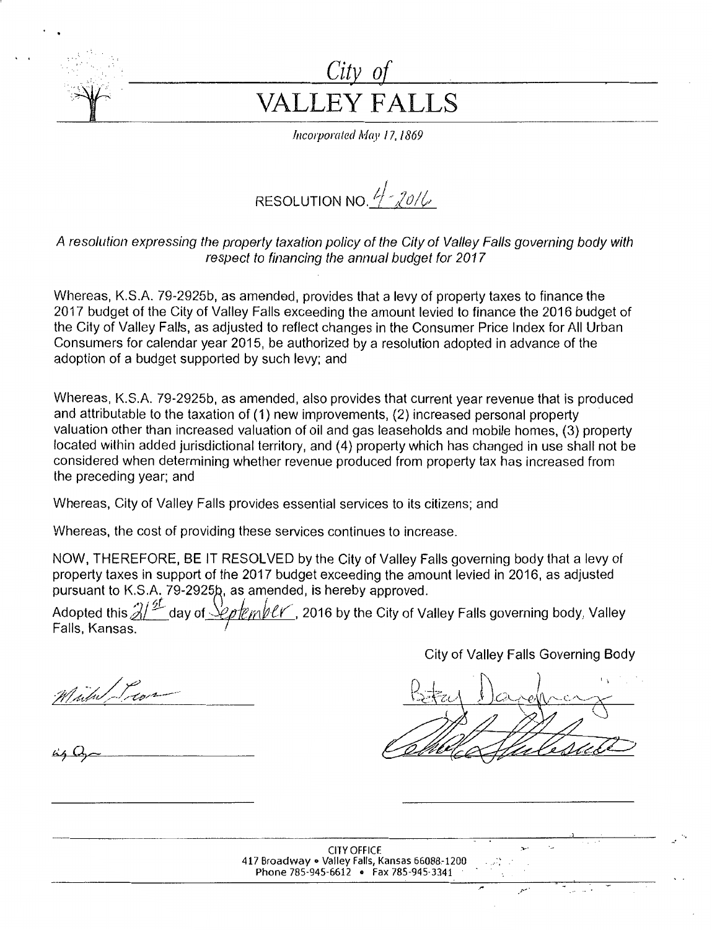

# $City~of~$ VALLEY FALLS

*Incorporated May I* 7, *I 869* 

RESOLUTION NO.  $4-2016$ 

A resolution expressing the property taxation policy of the City of Valley Falls governing body with respect to financing the annual budget for 2017

Whereas, K.S.A. 79-2925b, as amended, provides that a levy of property taxes to finance the 2017 budget of the City of Valley Falls exceeding the amount levied to finance the 2016 budget of the City of Valley Falls, as adjusted to reflect changes in the Consumer Price Index for All Urban Consumers for calendar year 2015, be authorized by a resolution adopted in advance of the adoption of a budget supported by such levy; and

Whereas, K.S.A. 79-2925b, as amended, also provides that current year revenue that is produced and attributable to the taxation of (1) new improvements, (2) increased personal property valuation other than increased valuation of oil and gas leaseholds and mobile homes, (3) property located within added jurisdictional territory, and (4) property which has changed in use shall not be considered when determining whether revenue produced from property tax has increased from the preceding year; and

Whereas, City of Valley Falls provides essential services to its citizens; and

Whereas, the cost of providing these services continues to increase.

NOW, THEREFORE, BE IT RESOLVED by the City of Valley Falls governing body that a levy of property taxes in support of the 2017 budget exceeding the amount levied in 2016, as adjusted pursuant to K.S.A. 79-2925b, as amended, is hereby approved.

Adopted this  $\mathcal{A}\mathcal{I}$  day of  $\mathcal{L}\mathcal{D}\mathcal{L}\mathcal{M}\mathcal{V}\mathcal{L}\mathcal{V}$  , 2016 by the City of Valley Falls governing body, Valley Falls, Kansas.

Mail Sour

 $~44~\mathrm{M}_{\odot}$ 

City of Valley Falls Governing Body

 $\sim$ 

\_,

--.

\_,.

CITY OFFICE 417 Broadway o Valley Falls, Kansas 66088.-1200 Phone 785-945-6612 o Fax 785-945-3341  $\cdot$ ...  $\cdot$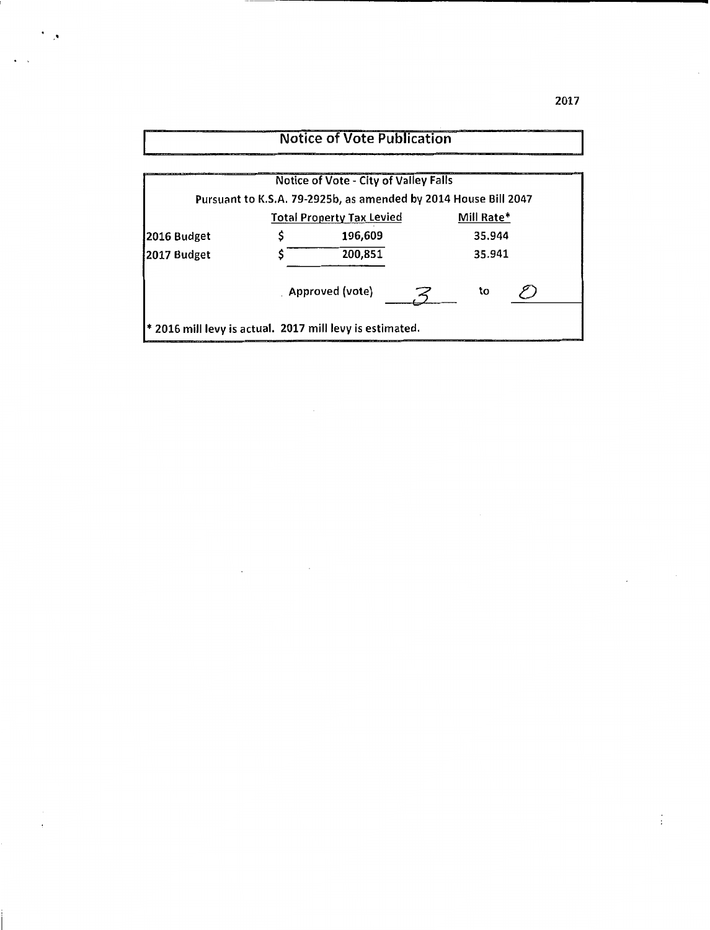# Notice of Vote Publication

 $\cdot$ 

|             | Notice of Vote - City of Valley Falls                           |  |            |  |  |
|-------------|-----------------------------------------------------------------|--|------------|--|--|
|             | Pursuant to K.S.A. 79-2925b, as amended by 2014 House Bill 2047 |  |            |  |  |
|             | <b>Total Property Tax Levied</b>                                |  | Mill Rate* |  |  |
| 2016 Budget | 196,609                                                         |  | 35.944     |  |  |
| 2017 Budget | 200,851                                                         |  | 35.941     |  |  |
|             | . Approved (vote)                                               |  | to         |  |  |
|             | $*$ 2016 mill levy is actual. 2017 mill levy is estimated.      |  |            |  |  |

 $\sim$ 

 $\ddot{\phantom{a}}$ 

 $\vdots$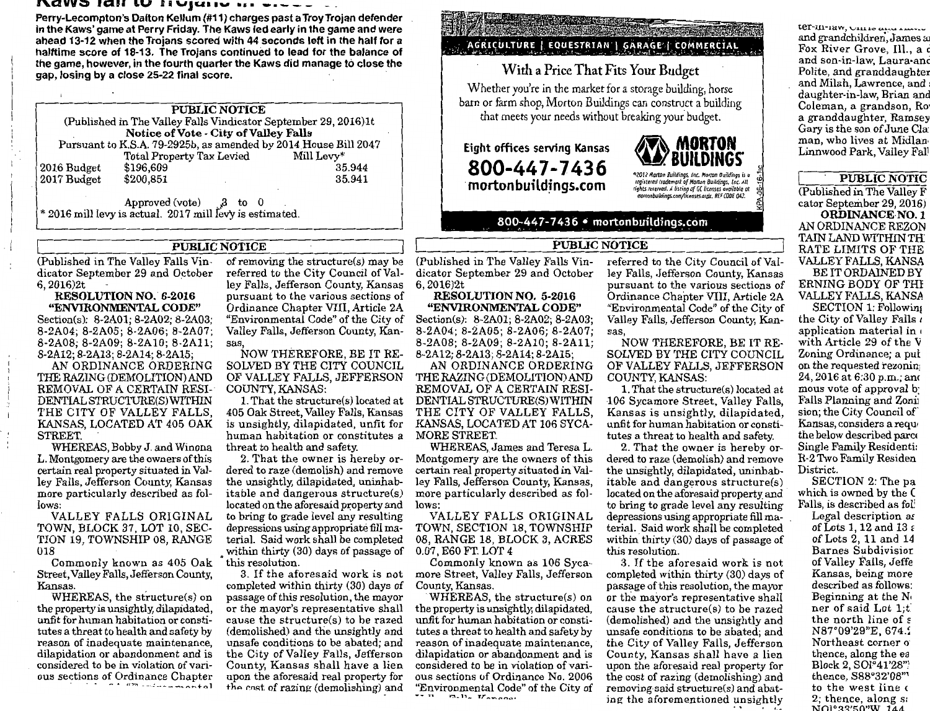## Naws Iall W Hujunum - ----

Perry-Lecompton's Dalton Kellum (#11) charges past a Troy Trojan defender in the Kaws' game at Perry Friday. The Kaws led early in the game and were ahead 13-12 when the Trojans scored with 44 seconds left in the half for a halftime score of 18-13. The Trojans continued to lead for the balance of the game, however, in the fourth guarter the Kaws did manage to close the gap, losing by a close 25-22 final score.

| <b>PUBLIC NOTICE</b> |                                                                 |  |  |  |  |            |
|----------------------|-----------------------------------------------------------------|--|--|--|--|------------|
|                      | (Published in The Valley Falls Vindicator September 29, 2016)1t |  |  |  |  |            |
|                      | <b>Notice of Vote - City of Valley Falls</b>                    |  |  |  |  |            |
|                      | Pursuant to K.S.A. 79-2925b, as amended by 2014 House Bill 2047 |  |  |  |  |            |
|                      | Total Property Tax Levied                                       |  |  |  |  | Mill Levy* |
| 2016 Budget          | \$196,609                                                       |  |  |  |  | 35.944     |
| 2017 Budget          | \$200,851                                                       |  |  |  |  | 35.941     |
|                      |                                                                 |  |  |  |  |            |
|                      | Approved (vote)                                                 |  |  |  |  |            |

**PUBLIC NOTICE** 

\* 2016 mill levy is actual. 2017 mill levy is estimated.

# AGRICULTURE | EQUESTRIAN | GARAGE | COMMERCIAL With a Price That Fits Your Budget

Whether you're in the market for a storage building, horse barn or farm shop, Morton Buildings can construct a building that meets your needs without breaking your budget.

Eight offices serving Kansas 800-447-7436 mortonbuildings.com



°2012 Marton Buildings, Inc. Morton Buildings is a registered trademark of Morton Buildings, Inc. All rights reserved. A listing of GC licenses available at<br>mortonbuildings.com/licenses.aspx. REF CODE 043.

800-447-7436 • mortonbuildings.com

# **PUBLIC NOTICE**

(Published in The Valley Falls Vindicator September 29 and October 6, 2016)2t

## **RESOLUTION NO. 6-2016** "ENVIRONMENTAL CODE"

Section(s): 8-2A01; 8-2A02; 8-2A03; 8-2A04; 8-2A05; 8-2A06; 8-2A07; 8-2A08; 8-2A09; 8-2A10; 8-2A11; 8-2A12; 8-2A13; 8-2A14; 8-2A15;

AN ORDINANCE ORDERING THE RAZING (DEMOLITION) AND REMOVAL OF A CERTAIN RESI-DENTIAL STRUCTURE(S) WITHIN THE CITY OF VALLEY FALLS, KANSAS, LOCATED AT 405 OAK **STREET.** 

WHEREAS, Bobby J. and Winona L. Montgomery are the owners of this certain real property situated in Valley Falls, Jefferson County, Kansas more particularly described as follows:

VALLEY FALLS ORIGINAL TOWN, BLOCK 37, LOT 10, SEC-TION 19, TOWNSHIP 08, RANGE 018

Commonly known as 405 Oak Street, Valley Falls, Jefferson County, Kansas.

WHEREAS, the structure(s) on the property is unsightly, dilapidated, unfit for human habitation or constitutes a threat to health and safety by reason of inadequate maintenance, dilapidation or abandonment and is considered to be in violation of various sections of Ordinance Chapter 

of removing the structure(s) may be referred to the City Council of Valley Falls, Jefferson County, Kansas pursuant to the various sections of Ordinance Chapter VIII, Article 2A "Environmental Code" of the City of Valley Falls, Jefferson County, Kansas,

NOW THEREFORE, BE IT RE-SOLVED BY THE CITY COUNCIL OF VALLEY FALLS, JEFFERSON COUNTY, KANSAS:

1. That the structure(s) located at 405 Oak Street, Valley Falls, Kansas is unsightly, dilapidated, unfit for human habitation or constitutes a threat to health and safety.

2. That the owner is hereby ordered to raze (demolish) and remove the unsightly, dilapidated, uninhabitable and dangerous structure(s) located on the aforesaid property and to bring to grade level any resulting depressions using appropriate fill material. Said work shall be completed within thirty (30) days of passage of this resolution.

3. If the aforesaid work is not completed within thirty (30) days of passage of this resolution, the mayor or the mayor's representative shall cause the structure(s) to be razed (demolished) and the unsightly and unsafe conditions to be abated; and the City of Valley Falls, Jefferson County, Kansas shall have a lien upon the aforesaid real property for the cost of razing (demolishing) and

(Published in The Valley Falls Vindicator September 29 and October 6, 2016)2t

# **RESOLUTION NO. 5-2016 "ENVIRONMENTAL CODE"**

Section(s): 8-2A01; 8-2A02; 8-2A03; 8-2A04; 8-2A05; 8-2A06; 8-2A07; 8-2A08; 8-2A09; 8-2A10; 8-2A11; 8-2A12; 8-2A13; 8-2A14; 8-2A15;

AN ORDINANCE ORDERING THE RAZING (DEMOLITION) AND REMOVAL OF A CERTAIN RESI-DENTIAL STRUCTURE(S) WITHIN THE CITY OF VALLEY FALLS, KANSAS, LOCATED AT 106 SYCA-MORE STREET.

WHEREAS, James and Teresa L. Montgomery are the owners of this certain real property situated in Valley Falls, Jefferson County, Kansas, more particularly described as follows:

VALLEY FALLS ORIGINAL TOWN, SECTION 18, TOWNSHIP 08, RANGE 18, BLOCK 3, ACKES 0.07, E60 FT. LOT 4

Commonly known as 106 Sycamore Street, Valley Falls, Jefferson County, Kansas.

WHEREAS, the structure(s) on the property is unsightly, dilapidated, unfit for human habitation or constitutes a threat to health and saiety by reason of inadequate maintenance, dilapidation or abandonment and is considered to be in violation of various sections of Ordinance No. 2006 "Environmental Code" of the City of m.ll. Vancoe

referred to the City Council of Valley Falls, Jefferson County, Kansas pursuant to the various sections of Ordinance Chapter VIII, Article 2A "Environmental Code" of the City of Valley Falls, Jefferson County, Kansas,

NOW THEREFORE, BE IT RE-SOLVED BY THE CITY COUNCIL OF VALLEY FALLS, JEFFERSON COUNTY, KANSAS:

1. That the structure(s) located at 106 Sycamore Street, Valley Falls, Kansas is unsightly, dilapidated, unfit for human habitation or constitutes a threat to health and safety.

2. That the owner is hereby ordered to raze (demolish) and remove the unsightly, dilapidated, uninhabitable and dangerous structure(s) located on the aforesaid property and to bring to grade level any resulting depressions using appropriate fill material. Said work shall be completed within thirty (30) days of passage of this resolution.

3. If the aforesaid work is not completed within thirty (30) days of passage of this resolution, the mayor or the mayor's representative shall cause the structure(s) to be razed (demolished) and the unsightly and unsafe conditions to be abated; and the City of Valley Falls, Jefferson County, Kansas shall have a lien upon the aforesaid real property for the cost of razing (demolishing) and removing said structure(s) and abating the aforementioned unsightly

 $181 - 180$ ,  $01110$  and  $1000$ and grandchildren, James a Fox River Grove, III., a c and son-in-law, Laura•ano Polite, and granddaughtei and Milah, Lawrence, and daughter-in-law, Brian and Coleman, a grandson, Ro a granddaughter, Kamsey Gary is the son of June Cla man, who lives at Midlan Linnwood Park, Valley Fal

# **PUBLIC NOTIC**

(Published in The Valley F cator September 29, 2016) ORDINANCE NO. 1 AN ORDINANCE REZON

TAIN LAND WITHIN TH RATE LIMITS OF THE VALLEY FALLS, KANSA BE IT ORDAINED BY

ERNING BODY OF THE VALLEY FALLS, KANSA SECTION 1: Following

the City of Valley Falls application material in with Article 29 of the V Zoning Ordinance; a put on the requested rezoning 24, 2016 at 6:30 p.m.; and mous vote of approval b Falls Planning and Zoni sion; the City Council of Kansas, considers a requ the below described parce Single Family Residenti: R-2 I wo Family Residen **District.** 

SECTION 2: The pa which is owned by the C rails, is described as fol:

Legal description as of Lots  $1, 12$  and  $13 \epsilon$ of Lots  $2, 11$  and  $14$ Barnes Subdivision of Valley Falls, Jeffe Ransas, being more described as follows. Beginning at the N ner of said Lot 1,t  $\frac{1}{2}$  the north line of  $\frac{1}{2}$ N87-09 29 L, 074.7 Northeast corner of thence, along the ea Block 2, SOI 41.28  $t$ hence, S88°32′08 $\degree$ to the west line of NOP33350″W. 1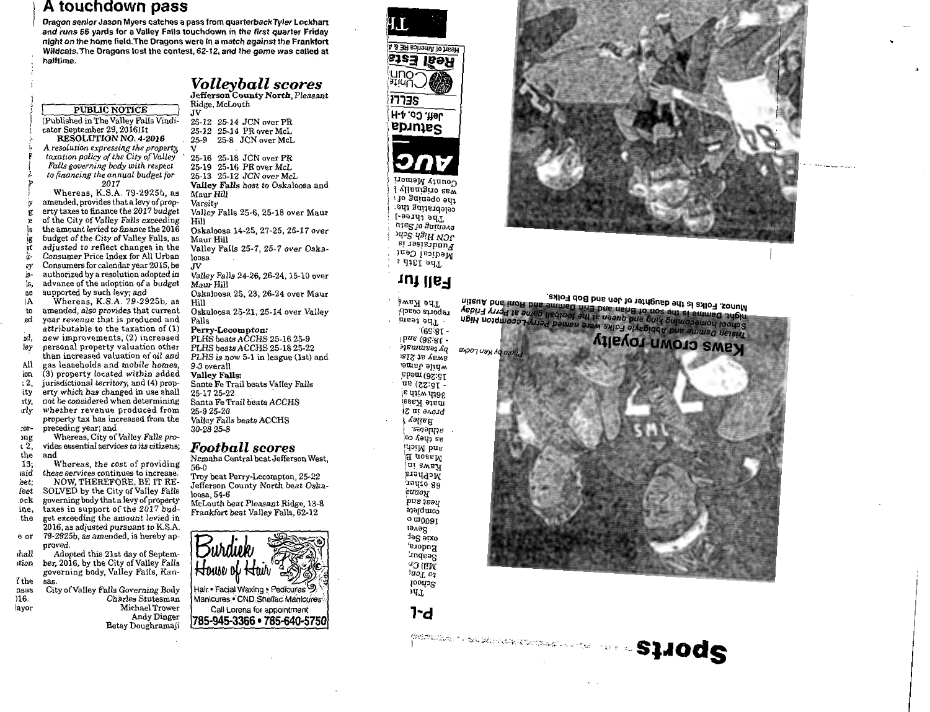# **A touchdown pass**

Dragon senior Jason Myers catches a pass from quarterback Tyler Lockhart and runs 66 yards for a Valley Falls touchdown in the first quarter Friday night on the home field. The Dragons were in a match against the Frankfort Wildcats. The Dragons lost the contest, 62-12, and the game was called at halftime.

# PUBLIC NOTICE

(Published in The Valley Falls Vindicator September 29, 2016)1t RESOLUTION NO. 4-2016

 I· *A resolution expressing the propertY,*  <sup>f</sup>*taxation policy of the City of Valley* I *Falls governing body with respect to financing the annual budget for*  F *2017* 

*T-*

is-

Whereas, K.S.A. 79-2925b, as amended, provides that a levy of propig erty taxes to finance the 2017 budget of the City of Valley Falls exceeding Is the amount levied to finance the 2016 ig budget of the City of Valley Falls, as adjusted to reflect changes in the Consumer Price Index for All Urban ey Consumers for calendar year 2015, be authorized by a resolution adopted in Is, advance of the adoption of a budget ne supported by such levy; and<br>(A Whereas, K.S.A. 79-29

lA Whereas, K.S.A. 79-2925b, as to amended, also provides that current<br>ed vear revenue that is produced and year revenue that is produced and attributable to the taxation of (1)<br>id. new improvements. (2) increased 1d, new improvements, (2) increased personal property valuation other than increased valuation of oil and All gas leaseholds and mobile homes, ion  $(3)$  property located within added<br>: 2. iurisdictional territory and (4) prop-: 2, jurisdictional territory, and (4) prop erty which has changed in use shall 1ty, not be considered when determining whether revenue produced from property tax has increased from the :oror- preceding year; and<br>
ong Whereas, City of mg Whereas, City of Valley Falls pro-<br>
(2) vides essential services to its citizens;

t 2, vides essential services to its citizens; and

 13;. Whereas, the cost of providing 1aid these services continues to increase. 'eet; NOW, THEREFORE, BE IT REfeet SOLVED by the City of Valley Falls<br>ock governing body that a levy of property

- ock governing body that a levy of property<br>ine, taxes in support of the 2017 budine, taxes in support of the 2017 budget exceeding the amount levied in
- 2016, as adjusted pursuant to KS.A. e or 79-2925b, as amended, is hereby ap-

proved. 1hall Adopted this 21st day of Septem-<br>tion ber. 2016, by the City of Valley Falls ber, 2016, by the City of Valley Falls governing body, Valley Falls, Kan-

7 the<br>nsas nsas City ofValley Falls Governing Body Jl6. Charles Stutesman layor Michael Trower

Andy Dinger Betsy Doughramaji *Volley\_ball scores* Jefferson County North, Pleasant Ridge, McLouth JV 25-12 25-14 JCN over PR 25-12 25-14 PRover MeL 25-9 25-8 JCN over MeL v 25-16 25-18 JCN over PR 25-19 25-16 PRover MeL 25-13 25-12 JCN over MeL Valley Falls host to Oskaloosa and Maur Hill Varsity Valley Falls 25-6, 25-18 over Maur Hill Oskaloosa 14-25, 27-25, 25-17 over Maur Hill Valley Falls 25-7, 25-7 over Oskaloosa JV Valley Falls 24-26, 26-24, 15-10 over Maur Hill Oskaloosa 25, 23, 26-24 over Maur Hill Oskaloosa 25-21, 25-14 over Valley **Falls**  Perry-Lecompton: PLHS beats ACCHS 25-16 25-9 PLHS beats ACCHS 25-18 25-22 PLHS is now 5-1 in league (1st) and 9-3 overall Valley.Falls: Sante Fe Trail beats Valley Falls 25-17 25-22 . Santa Fe Trail beats ACCHS 25-9 25-20 Valley Falls beats ACCHS 30-28 25-8 *Football scores* 

 Nemaha Central beat Jefferson West, 56-0 Troy beat Perry-Lecompton, 25-22

Jefferson County North beat Oskaloosa, 54-6 McLouth beat Pleasant Ridge, 13-8

Frankfort beat Valley Falls, 62-12



785-945-3366 • 785-640-5750









County Memori ! .rwm!2!-Io SllM 'JO 2o!oado aq1 celebrating the  $[-e^{i\theta} + e^{i\theta}]$ nas jo autuana  $_{\rm JCN}$  High Schc rundraiser is Medical Cent  $T$ le 13th  $\epsilon$ 

# Fall fur

dasoo erroqey<br>awaX ədT msət edT<br>İdəroə etioc '(6s:sr-1 ptm (9s:sr tels 15 vews while Jame.  $r_{\rm g;SG}$ ) meda  $-12:52$ ) and is diiw nido nate Kassi *l* vəlisd<br>18 ni əvorq sene res idəiM bas<br>Sol Yəni as

> id aoseM I U! SA\ll}l sanon<br>Radio 89 pue 1<br>Pollete<br>Pollete omoogr Byen oxie 2et :tas apw 'l'lJopna Resport:<br>Will Cr luo.L *01* [OOt[JS



·slfiD;:j qog pue uar 10 S! Sl!IO;:j ·zounw U!Jsnv pue 1uou pue awwea U!J3 pue ue!Ja 10 uos a4J S! awwea "J46!u ..UJad Je awe6 ueqJool a41 Je uaanb pue 6U!lf 6u!wooawo4 roo11os 46!H paweu aJaM SlfiO;:j arAe6!qQV pue awwea

# **Kaws crown royalty**

 $\overline{H}$ **1-d** 

.. . :·c···:'.. ·: :!· .. .. .,. - .. : \_\_ **s1.1ods**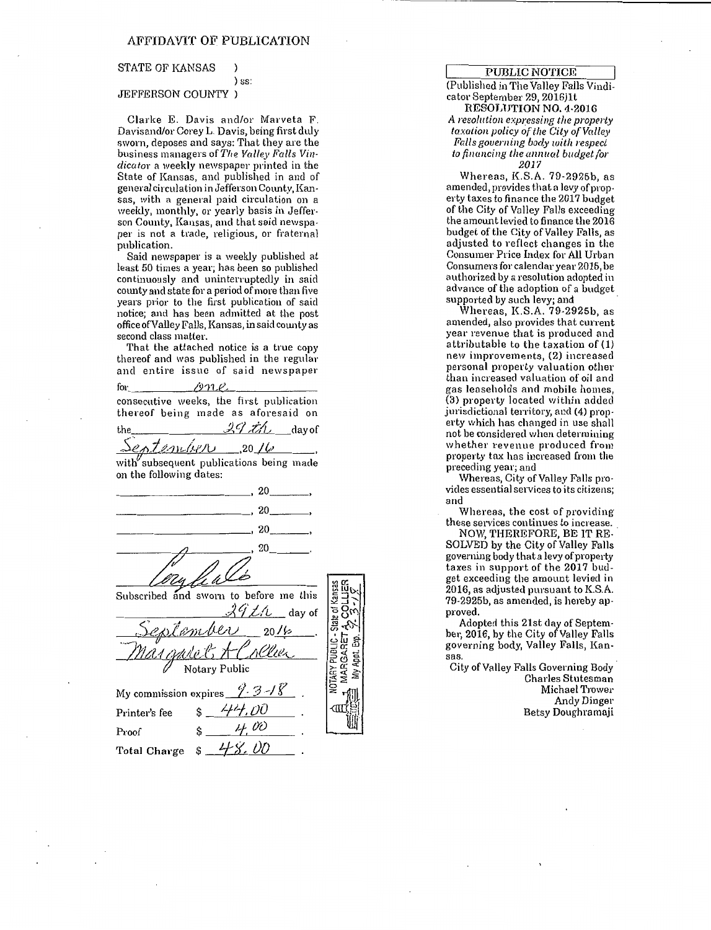### **STATE OF KANSAS**  $\lambda$

# $\sum$ ss:

# JEFFERSON COUNTY)

Clarke E. Davis and/or Marveta F. Davisand/or Corey L. Davis, being first duly sworn, deposes and says: That they are the business managers of The Valley Falls Vindicator a weekly newspaper printed in the State of Kansas, and published in and of general circulation in Jefferson County, Kansas, with a general paid circulation on a weekly, monthly, or yearly basis in Jefferson County, Kansas, and that said newspaper is not a trade, religious, or fraternal publication.

Said newspaper is a weekly published at least 50 times a year; has been so published continuously and uninterruptedly in said county and state for a period of more than five years prior to the first publication of said notice; and has been admitted at the post office of Valley Falls, Kansas, in said county as second class matter.

That the attached notice is a true copy thereof and was published in the regular and entire issue of said newspaper

sme, for<sup>.</sup>

consecutive weeks, the first publication thereof being made as aforesaid on  $29th$  day of the

ntember  $.20 / 6$ with subsequent publications being made on the following dates:

| -20                                               |                                 |
|---------------------------------------------------|---------------------------------|
| . 20                                              |                                 |
| . 20                                              |                                 |
| 20                                                |                                 |
| yffiale<br>Subscribed and sworn to before me this |                                 |
| $39th$ day of                                     |                                 |
|                                                   |                                 |
| September 2014                                    | NOTARY PUBLIC - State of Kansas |
| Notary Public                                     |                                 |
| My commission expires $\frac{9.3-18}{8}$          |                                 |
| \$ 44.00<br>Printer's fee                         | J                               |
|                                                   |                                 |

MARGARET

Appt.

š

**PUBLIC NOTICE** 

(Published in The Valley Falls Vindicator September 29, 2016)1t

RESOLUTION NO. 4-2016 A resolution expressing the property toxation policy of the City of Valley Falls governing body with respect to financing the annual budget for 2017

Whereas, K.S.A. 79-2925b, as amended, provides that a levy of property taxes to finance the 2017 budget of the City of Valley Falls exceeding the amount levied to finance the 2016 budget of the City of Valley Falls, as adjusted to reflect changes in the Consumer Price Index for All Urban Consumers for calendar year 2015, be authorized by a resolution adopted in advance of the adoption of a budget supported by such levy; and

Whereas, K.S.A. 79-2925b, as amended, also provides that current year revenue that is produced and attributable to the taxation of (1) new improvements, (2) increased personal property valuation other than increased valuation of oil and gas leaseholds and mobile homes. (3) property located within added jurisdictional territory, and (4) property which has changed in use shall not be considered when determining whether revenue produced from property tax has increased from the preceding year; and

Whereas, City of Valley Falls provides essential services to its citizens; and

Whereas, the cost of providing these services continues to increase.

NOW, THEREFORE, BE IT RE-SOLVED by the City of Valley Falls governing body that a levy of property taxes in support of the 2017 budget exceeding the amount levied in 2016, as adjusted pursuant to K.S.A. 79-2925b, as amended, is hereby approved.

Adopted this 21st day of September, 2016, by the City of Valley Falls governing body, Valley Falls, Kan-S<sub>88</sub>

City of Valley Falls Governing Body Charles Stutesman Michael Trower Andy Dinger Betsy Doughramaji

 $Proof$ 

**Total Charge** Ŝ.